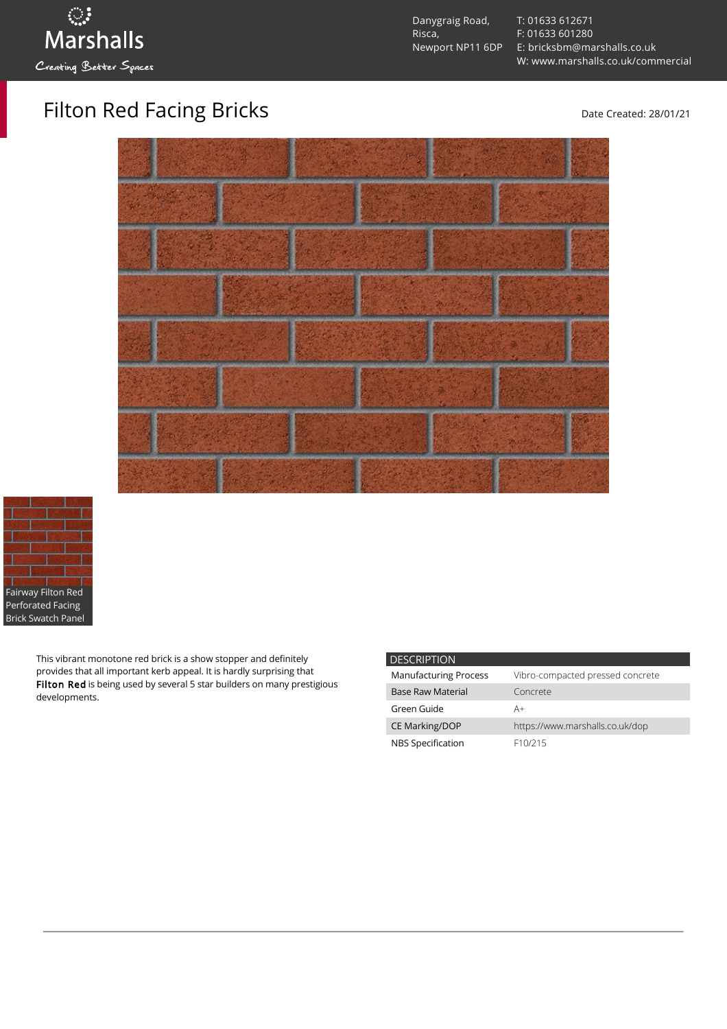[T: 01633 612671](tel:01633%20612671) [F: 01633 601280](tel:01633%20601280) [E: bricksbm@marshalls.co.uk](mailto:bricksbm@marshalls.co.uk) [W: www.marshalls.co.uk/commercial](https://www.marshalls.co.uk/commercial)

Filton Red Facing Bricks Date Created: 28/01/21



This vibrant monotone red brick is a show stopper and definitely provides that all important kerb appeal. It is hardly surprising that Filton Red is being used by several 5 star builders on many prestigious developments.

| <b>DESCRIPTION</b>           |                                  |
|------------------------------|----------------------------------|
| <b>Manufacturing Process</b> | Vibro-compacted pressed concrete |
| <b>Base Raw Material</b>     | Concrete                         |
| Green Guide                  | A+                               |
| <b>CE Marking/DOP</b>        | https://www.marshalls.co.uk/dop  |
| NBS Specification            | F <sub>10</sub> /215             |